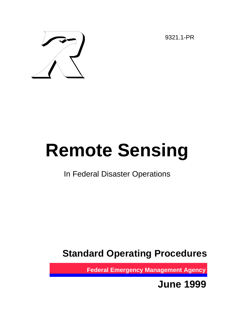9321.1-PR



# **Remote Sensing**

## In Federal Disaster Operations

# **Standard Operating Procedures**

**Federal Emergency Management Agency**

**June 1999**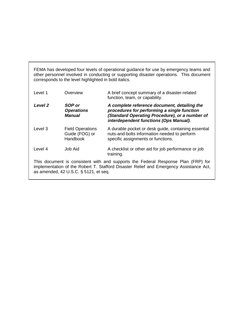FEMA has developed four levels of operational guidance for use by emergency teams and other personnel involved in conducting or supporting disaster operations. This document corresponds to the level highlighted in bold italics.

| Level 1                                                                                                                                                                                                              | Overview                                                     | A brief concept summary of a disaster-related<br>function, team, or capability.                                                                                                         |  |
|----------------------------------------------------------------------------------------------------------------------------------------------------------------------------------------------------------------------|--------------------------------------------------------------|-----------------------------------------------------------------------------------------------------------------------------------------------------------------------------------------|--|
| Level <sub>2</sub>                                                                                                                                                                                                   | SOP or<br><b>Operations</b><br><b>Manual</b>                 | A complete reference document, detailing the<br>procedures for performing a single function<br>(Standard Operating Procedure), or a number of<br>interdependent functions (Ops Manual). |  |
| Level 3                                                                                                                                                                                                              | <b>Field Operations</b><br>Guide (FOG) or<br><b>Handbook</b> | A durable pocket or desk guide, containing essential<br>nuts-and-bolts information needed to perform<br>specific assignments or functions.                                              |  |
| Level 4                                                                                                                                                                                                              | Job Aid                                                      | A checklist or other aid for job performance or job<br>training.                                                                                                                        |  |
| This document is consistent with and supports the Federal Response Plan (FRP) for<br>implementation of the Robert T. Stafford Disaster Relief and Emergency Assistance Act,<br>as amended, 42 U.S.C. § 5121, et seq. |                                                              |                                                                                                                                                                                         |  |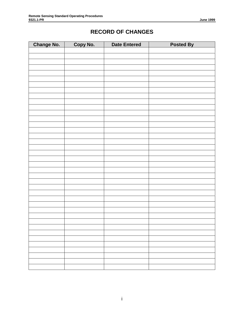## **RECORD OF CHANGES**

| Change No. | Copy No. | <b>Date Entered</b> | <b>Posted By</b> |
|------------|----------|---------------------|------------------|
|            |          |                     |                  |
|            |          |                     |                  |
|            |          |                     |                  |
|            |          |                     |                  |
|            |          |                     |                  |
|            |          |                     |                  |
|            |          |                     |                  |
|            |          |                     |                  |
|            |          |                     |                  |
|            |          |                     |                  |
|            |          |                     |                  |
|            |          |                     |                  |
|            |          |                     |                  |
|            |          |                     |                  |
|            |          |                     |                  |
|            |          |                     |                  |
|            |          |                     |                  |
|            |          |                     |                  |
|            |          |                     |                  |
|            |          |                     |                  |
|            |          |                     |                  |
|            |          |                     |                  |
|            |          |                     |                  |
|            |          |                     |                  |
|            |          |                     |                  |
|            |          |                     |                  |
|            |          |                     |                  |
|            |          |                     |                  |
|            |          |                     |                  |
|            |          |                     |                  |
|            |          |                     |                  |
|            |          |                     |                  |
|            |          |                     |                  |
|            |          |                     |                  |
|            |          |                     |                  |
|            |          |                     |                  |
|            |          |                     |                  |
|            |          |                     |                  |
|            |          |                     |                  |
|            |          |                     |                  |
|            |          |                     |                  |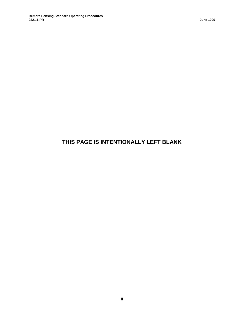## **THIS PAGE IS INTENTIONALLY LEFT BLANK**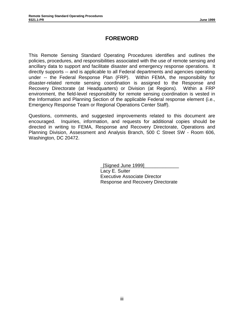## **FOREWORD**

This Remote Sensing Standard Operating Procedures identifies and outlines the policies, procedures, and responsibilities associated with the use of remote sensing and ancillary data to support and facilitate disaster and emergency response operations. It directly supports -- and is applicable to all Federal departments and agencies operating under -- the Federal Response Plan (FRP). Within FEMA, the responsibility for disaster-related remote sensing coordination is assigned to the Response and Recovery Directorate (at Headquarters) or Division (at Regions). Within a FRP environment, the field-level responsibility for remote sensing coordination is vested in the Information and Planning Section of the applicable Federal response element (i.e., Emergency Response Team or Regional Operations Center Staff).

Questions, comments, and suggested improvements related to this document are encouraged. Inquiries, information, and requests for additional copies should be directed in writing to FEMA, Response and Recovery Directorate, Operations and Planning Division, Assessment and Analysis Branch, 500 C Street SW - Room 606, Washington, DC 20472.

> \_[Signed June 1999]\_\_\_\_\_\_\_\_\_\_\_\_\_ Lacy E. Suiter Executive Associate Director Response and Recovery Directorate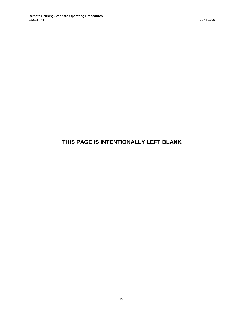## **THIS PAGE IS INTENTIONALLY LEFT BLANK**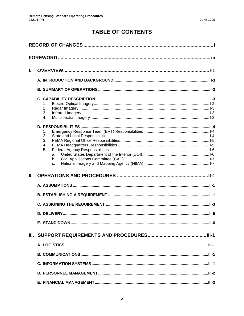## **TABLE OF CONTENTS**

| L. |                                                                      |  |
|----|----------------------------------------------------------------------|--|
|    |                                                                      |  |
|    |                                                                      |  |
|    | 1.<br>2.<br>3.<br>4.<br>1.<br>2.<br>3.<br>4.<br>5.<br>a.<br>b.<br>c. |  |
| Ш. |                                                                      |  |
|    |                                                                      |  |
|    |                                                                      |  |
|    |                                                                      |  |
|    |                                                                      |  |
|    |                                                                      |  |
|    |                                                                      |  |
|    |                                                                      |  |
|    |                                                                      |  |
|    |                                                                      |  |
|    |                                                                      |  |
|    |                                                                      |  |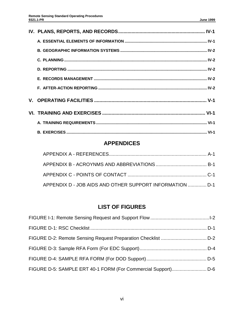## **APPENDICES**

| APPENDIX D - JOB AIDS AND OTHER SUPPORT INFORMATION  D-1 |  |
|----------------------------------------------------------|--|

## **LIST OF FIGURES**

| FIGURE D-5: SAMPLE ERT 40-1 FORM (For Commercial Support) D-6 |  |
|---------------------------------------------------------------|--|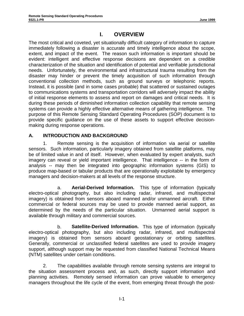## **I. OVERVIEW**

The most critical and coveted, yet situationally difficult category of information to capture immediately following a disaster is accurate and timely intelligence about the scope, extent, and impact of the event. The reason such information is important should be evident: intelligent and effective response decisions are dependent on a credible characterization of the situation and identification of potential and verifiable jurisdictional needs. Unfortunately, the environmental and infrastructural trauma resulting from the disaster may hinder or prevent the timely acquisition of such information through conventional collection methods, such as ground surveys or telephonic reports. Instead, it is possible (and in some cases probable) that scattered or sustained outages to communications systems and transportation corridors will adversely impact the ability of initial response elements to assess and report on damages and critical needs. It is during these periods of diminished information collection capability that remote sensing systems can provide a highly effective alternative means of gathering intelligence. The purpose of this Remote Sensing Standard Operating Procedures (SOP) document is to provide specific guidance on the use of these assets to support effective decisionmaking during response operations.

#### **A. INTRODUCTION AND BACKGROUND**

1. Remote sensing is the acquisition of information via aerial or satellite sensors. Such information, particularly imagery obtained from satellite platforms, may be of limited value in and of itself. However, when evaluated by expert analysts, such imagery can reveal or yield important intelligence. That intelligence -- in the form of analysis -- may then be integrated into geographic information systems (GIS) to produce map-based or tabular products that are operationally exploitable by emergency managers and decision-makers at all levels of the response structure.

a. **Aerial-Derived Information.** This type of information (typically electro-optical photography, but also including radar, infrared, and multispectral imagery) is obtained from sensors aboard manned and/or unmanned aircraft. Either commercial or federal sources may be used to provide manned aerial support, as determined by the needs of the particular situation. Unmanned aerial support is available through military and commercial sources.

b. **Satellite-Derived Information.** This type of information (typically electro-optical photography, but also including radar, infrared, and multispectral imagery) is obtained from sensors aboard geostationary or orbiting satellites. Generally, commercial or unclassified federal satellites are used to provide imagery support, although support may be requested from classified National Technical Means (NTM) satellites under certain conditions.

2. The capabilities available through remote sensing systems are integral to the situation assessment process and, as such, directly support information and planning activities. Remotely sensed information can prove valuable to emergency managers throughout the life cycle of the event, from emerging threat through the post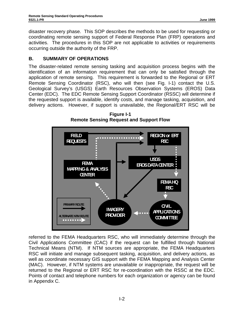disaster recovery phase. This SOP describes the methods to be used for requesting or coordinating remote sensing support of Federal Response Plan (FRP) operations and activities. The procedures in this SOP are not applicable to activities or requirements occurring outside the authority of the FRP.

#### **B. SUMMARY OF OPERATIONS**

The disaster-related remote sensing tasking and acquisition process begins with the identification of an information requirement that can only be satisfied through the application of remote sensing. This requirement is forwarded to the Regional or ERT Remote Sensing Coordinator (RSC), who will then (see Fig. I-1) contact the U.S. Geological Survey's (USGS) Earth Resources Observation Systems (EROS) Data Center (EDC). The EDC Remote Sensing Support Coordinator (RSSC) will determine if the requested support is available, identify costs, and manage tasking, acquisition, and delivery actions. However, if support is unavailable, the Regional/ERT RSC will be



**Figure I-1 Remote Sensing Request and Support Flow**

referred to the FEMA Headquarters RSC, who will immediately determine through the Civil Applications Committee (CAC) if the request can be fulfilled through National Technical Means (NTM). If NTM sources are appropriate, the FEMA Headquarters RSC will initiate and manage subsequent tasking, acquisition, and delivery actions, as well as coordinate necessary GIS support with the FEMA Mapping and Analysis Center (MAC). However, if NTM systems are unavailable or inappropriate, the request will be returned to the Regional or ERT RSC for re-coordination with the RSSC at the EDC. Points of contact and telephone numbers for each organization or agency can be found in Appendix C.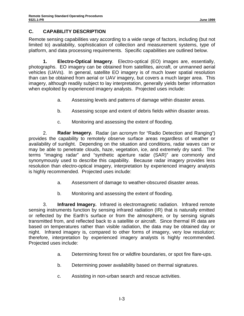#### **C. CAPABILITY DESCRIPTION**

Remote sensing capabilities vary according to a wide range of factors, including (but not limited to) availability, sophistication of collection and measurement systems, type of platform, and data processing requirements. Specific capabilities are outlined below.

**1. Electro-Optical Imagery**. Electro-optical (EO) images are, essentially, photographs. EO imagery can be obtained from satellites, aircraft, or unmanned aerial vehicles (UAVs). In general, satellite EO imagery is of much lower spatial resolution than can be obtained from aerial or UAV imagery, but covers a much larger area. This imagery, although readily subject to lay interpretation, generally yields better information when exploited by experienced imagery analysts. Projected uses include:

- a. Assessing levels and patterns of damage within disaster areas.
- b. Assessing scope and extent of debris fields within disaster areas.
- c. Monitoring and assessing the extent of flooding.

2. **Radar Imagery.** Radar (an acronym for "Radio Detection and Ranging") provides the capability to remotely observe surface areas regardless of weather or availability of sunlight. Depending on the situation and conditions, radar waves can or may be able to penetrate clouds, haze, vegetation, ice, and extremely dry sand. The terms "imaging radar" and "synthetic aperture radar (SAR)" are commonly and synonymously used to describe this capability. Because radar imagery provides less resolution than electro-optical imagery, interpretation by experienced imagery analysts is highly recommended. Projected uses include:

- a. Assessment of damage to weather-obscured disaster areas.
- b. Monitoring and assessing the extent of flooding.

3. **Infrared Imagery.** Infrared is electromagnetic radiation. Infrared remote sensing instruments function by sensing infrared radiation (IR) that is naturally emitted or reflected by the Earth's surface or from the atmosphere, or by sensing signals transmitted from, and reflected back to a satellite or aircraft. Since thermal IR data are based on temperatures rather than visible radiation, the data may be obtained day or night. Infrared imagery is, compared to other forms of imagery, very low resolution; therefore, interpretation by experienced imagery analysts is highly recommended. Projected uses include:

- a. Determining forest fire or wildfire boundaries, or spot fire flare-ups.
- b. Determining power availability based on thermal signatures.
- c. Assisting in non-urban search and rescue activities.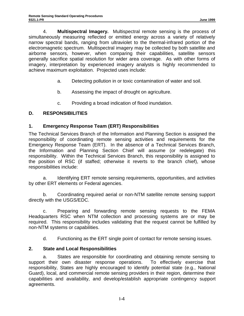4. **Multispectral Imagery.** Multispectral remote sensing is the process of simultaneously measuring reflected or emitted energy across a variety of relatively narrow spectral bands, ranging from ultraviolet to the thermal-infrared portion of the electromagnetic spectrum. Multispectral imagery may be collected by both satellite and airborne sensors, however, when comparing their capabilities, satellite sensors generally sacrifice spatial resolution for wider area coverage. As with other forms of imagery, interpretation by experienced imagery analysts is highly recommended to achieve maximum exploitation. Projected uses include:

- a. Detecting pollution in or toxic contamination of water and soil.
- b. Assessing the impact of drought on agriculture.
- c. Providing a broad indication of flood inundation.

#### **D. RESPONSIBILITIES**

#### **1. Emergency Response Team (ERT) Responsibilities**

The Technical Services Branch of the Information and Planning Section is assigned the responsibility of coordinating remote sensing activities and requirements for the Emergency Response Team (ERT). In the absence of a Technical Services Branch, the Information and Planning Section Chief will assume (or redelegate) this responsibility. Within the Technical Services Branch, this responsibility is assigned to the position of RSC (if staffed; otherwise it reverts to the branch chief), whose responsibilities include:

a. Identifying ERT remote sensing requirements, opportunities, and activities by other ERT elements or Federal agencies.

b. Coordinating required aerial or non-NTM satellite remote sensing support directly with the USGS/EDC.

c. Preparing and forwarding remote sensing requests to the FEMA Headquarters RSC when NTM collection and processing systems are or may be required. This responsibility includes validating that the request cannot be fulfilled by non-NTM systems or capabilities.

d. Functioning as the ERT single point of contact for remote sensing issues.

#### **2. State and Local Responsibilities**

a. States are responsible for coordinating and obtaining remote sensing to support their own disaster response operations. To effectively exercise that responsibility, States are highly encouraged to identify potential state (e.g., National Guard), local, and commercial remote sensing providers in their region, determine their capabilities and availability, and develop/establish appropriate contingency support agreements.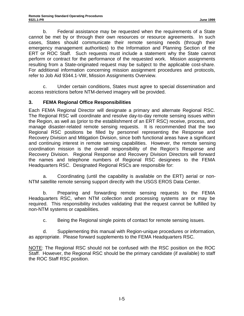b. Federal assistance may be requested when the requirements of a State cannot be met by or through their own resources or resource agreements. In such cases, States should communicate their remote sensing needs (through their emergency management authorities) to the Information and Planning Section of the ERT or ROC Staff. Such requests must include a statement why the State cannot perform or contract for the performance of the requested work. Mission assignments resulting from a State-originated request may be subject to the applicable cost-share. For additional information concerning mission assignment procedures and protocols, refer to Job Aid 9344.1-VW, Mission Assignments Overview.

c. Under certain conditions, States must agree to special dissemination and access restrictions before NTM-derived imagery will be provided.

#### **3. FEMA Regional Office Responsibilities**

Each FEMA Regional Director will designate a primary and alternate Regional RSC. The Regional RSC will coordinate and resolve day-to-day remote sensing issues within the Region, as well as (prior to the establishment of an ERT RSC) receive, process, and manage disaster-related remote sensing requests. It is recommended that the two Regional RSC positions be filled by personnel representing the Response and Recovery Division and Mitigation Division, since both functional areas have a significant and continuing interest in remote sensing capabilities. However, the remote sensing coordination mission is the overall responsibility of the Region's Response and Recovery Division. Regional Response and Recovery Division Directors will forward the names and telephone numbers of Regional RSC designees to the FEMA Headquarters RSC. Designated Regional RSCs are responsible for:

a. Coordinating (until the capability is available on the ERT) aerial or non-NTM satellite remote sensing support directly with the USGS EROS Data Center.

b. Preparing and forwarding remote sensing requests to the FEMA Headquarters RSC, when NTM collection and processing systems are or may be required. This responsibility includes validating that the request cannot be fulfilled by non-NTM systems or capabilities.

c. Being the Regional single points of contact for remote sensing issues.

d. Supplementing this manual with Region-unique procedures or information, as appropriate. Please forward supplements to the FEMA Headquarters RSC.

NOTE: The Regional RSC should not be confused with the RSC position on the ROC Staff. However, the Regional RSC should be the primary candidate (if available) to staff the ROC Staff RSC position.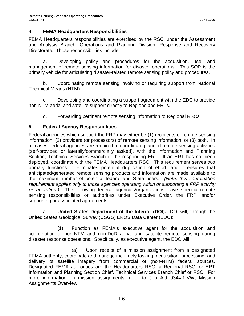#### **4. FEMA Headquarters Responsibilities**

FEMA Headquarters responsibilities are exercised by the RSC, under the Assessment and Analysis Branch, Operations and Planning Division, Response and Recovery Directorate. Those responsibilities include:

a. Developing policy and procedures for the acquisition, use, and management of remote sensing information for disaster operations. This SOP is the primary vehicle for articulating disaster-related remote sensing policy and procedures.

b. Coordinating remote sensing involving or requiring support from National Technical Means (NTM).

c. Developing and coordinating a support agreement with the EDC to provide non-NTM aerial and satellite support directly to Regions and ERTs.

d. Forwarding pertinent remote sensing information to Regional RSCs.

#### **5. Federal Agency Responsibilities**

Federal agencies which support the FRP may either be (1) recipients of remote sensing information; (2) providers (or processors) of remote sensing information, or (3) both. In all cases, federal agencies are required to coordinate planned remote sensing activities (self-provided or laterally/commercially tasked), with the Information and Planning Section, Technical Services Branch of the responding ERT. If an ERT has not been deployed, coordinate with the FEMA Headquarters RSC. This requirement serves two primary functions: it eliminates potential duplication of effort, and it ensures that anticipated/generated remote sensing products and information are made available to the maximum number of potential federal and State users. (Note: this coordination requirement applies only to those agencies operating within or supporting a FRP activity or operation.) The following federal agencies/organizations have specific remote sensing responsibilities or authorities under Executive Order, the FRP, and/or supporting or associated agreements:

a. **United States Department of the Interior (DOI).** DOI will, through the United States Geological Survey (USGS) EROS Data Center (EDC):

(1) Function as FEMA's executive agent for the acquisition and coordination of non-NTM and non-DoD aerial and satellite remote sensing during disaster response operations. Specifically, as executive agent, the EDC will:

(a) Upon receipt of a mission assignment from a designated FEMA authority, coordinate and manage the timely tasking, acquisition, processing, and delivery of satellite imagery from commercial or (non-NTM) federal sources. Designated FEMA authorities are the Headquarters RSC, a Regional RSC, or ERT Information and Planning Section Chief, Technical Services Branch Chief or RSC. For more information on mission assignments, refer to Job Aid 9344,1-VW, Mission Assignments Overview.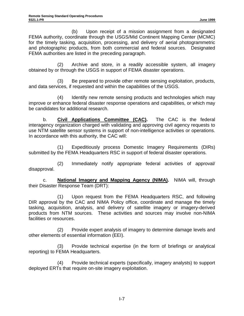(b) Upon receipt of a mission assignment from a designated FEMA authority, coordinate through the USGS/Mid Continent Mapping Center (MCMC) for the timely tasking, acquisition, processing, and delivery of aerial photogrammetric and photographic products, from both commercial and federal sources. Designated FEMA authorities are listed in the preceding paragraph.

(2) Archive and store, in a readily accessible system, all imagery obtained by or through the USGS in support of FEMA disaster operations.

(3) Be prepared to provide other remote sensing exploitation, products, and data services, if requested and within the capabilities of the USGS.

(4) Identify new remote sensing products and technologies which may improve or enhance federal disaster response operations and capabilities, or which may be candidates for additional research.

b. **Civil Applications Committee (CAC).** The CAC is the federal interagency organization charged with validating and approving civil agency requests to use NTM satellite sensor systems in support of non-intelligence activities or operations. In accordance with this authority, the CAC will:

(1) Expeditiously process Domestic Imagery Requirements (DIRs) submitted by the FEMA Headquarters RSC in support of federal disaster operations.

(2) Immediately notify appropriate federal activities of approval/ disapproval.

c. **National Imagery and Mapping Agency (NIMA).** NIMA will, through their Disaster Response Team (DRT):

(1) Upon request from the FEMA Headquarters RSC, and following DIR approval by the CAC and NIMA Policy office, coordinate and manage the timely tasking, acquisition, analysis, and delivery of satellite imagery or imagery-derived products from NTM sources. These activities and sources may involve non-NIMA facilities or resources.

(2) Provide expert analysis of imagery to determine damage levels and other elements of essential information (EEI).

(3) Provide technical expertise (in the form of briefings or analytical reporting) to FEMA Headquarters.

(4) Provide technical experts (specifically, imagery analysts) to support deployed ERTs that require on-site imagery exploitation.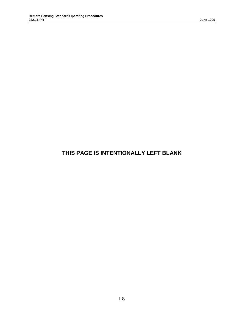## **THIS PAGE IS INTENTIONALLY LEFT BLANK**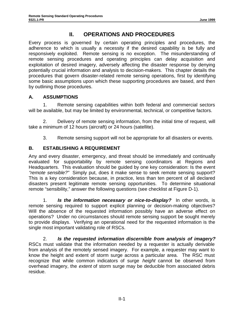## **II. OPERATIONS AND PROCEDURES**

Every process is governed by certain operating principles and procedures, the adherence to which is usually a necessity if the desired capability is be fully and responsively exploited. Remote sensing is no exception. The misunderstanding of remote sensing procedures and operating principles can delay acquisition and exploitation of desired imagery, adversely affecting the disaster response by denying potentially crucial information and analysis to decision-makers. This chapter details the procedures that govern disaster-related remote sensing operations, first by identifying some basic assumptions upon which these supporting procedures are based, and then by outlining those procedures.

#### **A. ASSUMPTIONS**

1. Remote sensing capabilities within both federal and commercial sectors will be available, but may be limited by environmental, technical, or competitive factors.

2. Delivery of remote sensing information, from the initial time of request, will take a minimum of 12 hours (aircraft) or 24 hours (satellite).

3. Remote sensing support will not be appropriate for all disasters or events.

#### **B. ESTABLISHING A REQUIREMENT**

Any and every disaster, emergency, and threat should be immediately and continually evaluated for supportability by remote sensing coordinators at Regions and Headquarters. This evaluation should be guided by one key consideration: Is the event "remote sensible?" Simply put, does it make sense to seek remote sensing support? This is a key consideration because, in practice, less than ten percent of all declared disasters present legitimate remote sensing opportunities. To determine situational remote "sensibility," answer the following questions (see checklist at Figure D-1).

1. **Is the information necessary or nice-to-display?** In other words, is remote sensing required to support explicit planning or decision-making objectives? Will the absence of the requested information possibly have an adverse effect on operations? Under no circumstances should remote sensing support be sought merely to provide displays. Verifying an operational need for the requested information is the single most important validating role of RSCs.

2. **Is the requested information discernible from analysis of imagery?** RSCs must validate that the information needed by a requester is actually derivable from analysis of the remotely sensed imagery. For example, a requester may want to know the height and extent of storm surge across a particular area. The RSC must recognize that while common indicators of surge height cannot be observed from overhead imagery, the extent of storm surge may be deducible from associated debris residue.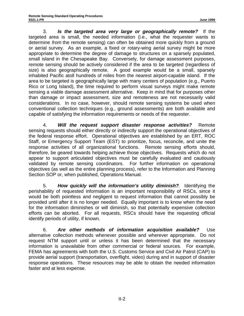3. **Is the targeted area very large or geographically remote?** If the targeted area is small, the needed information (i.e., what the requester wants to determine from the remote sensing) can often be obtained more quickly from a ground or aerial survey. As an example, a fixed or rotary-wing aerial survey might be more appropriate to determine the degree of damage to structures on a sparsely populated, small island in the Chesapeake Bay. Conversely, for damage assessment purposes, remote sensing should be actively considered if the area to be targeted (regardless of size) is also geographically remote. A good example would be a small, sparsely inhabited Pacific atoll hundreds of miles from the nearest airport-capable island. If the area to be targeted is geographically large with many centers of population (e.g., Puerto Rico or Long Island), the time required to perform visual surveys might make remote sensing a viable damage assessment alternative. Keep in mind that for purposes other than damage or impact assessment, size and remoteness are not necessarily valid considerations. In no case, however, should remote sensing systems be used when conventional collection techniques (e.g., ground assessments) are both available and capable of satisfying the information requirements or needs of the requester.

4. **Will the request support disaster response activities?** Remote sensing requests should either directly or indirectly support the operational objectives of the federal response effort. Operational objectives are established by an ERT, ROC Staff, or Emergency Support Team (EST) to prioritize, focus, reconcile, and unite the response activities of all organizational functions. Remote sensing efforts should, therefore, be geared towards helping achieve those objectives. Requests which do not appear to support articulated objectives must be carefully evaluated and cautiously validated by remote sensing coordinators. For further information on operational objectives (as well as the entire planning process), refer to the Information and Planning Section SOP or, when published, Operations Manual.

5. **How quickly will the information's utility diminish?**. Identifying the perishability of requested information is an important responsibility of RSCs, since it would be both pointless and negligent to request information that cannot possibly be provided until after it is no longer needed. Equally important is to know when the need for the information diminishes or will diminish, so that potentially expensive collection efforts can be aborted. For all requests, RSCs should have the requesting official identify periods of utility, if known.

6. **Are other methods of information acquisition available?** Use alternative collection methods whenever possible and wherever appropriate. Do not request NTM support until or unless it has been determined that the necessary information is unavailable from other commercial or federal sources. For example, FEMA has agreements with both the U.S. Customs Service and Civil Air Patrol (CAP) to provide aerial support (transportation, overflight, video) during and in support of disaster response operations. These resources may be able to obtain the needed information faster and at less expense.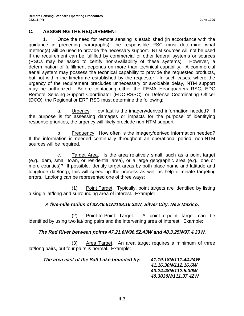#### **C. ASSIGNING THE REQUIREMENT**

1. Once the need for remote sensing is established (in accordance with the guidance in preceding paragraphs), the responsible RSC must determine what method(s) will be used to provide the necessary support. NTM sources will not be used if the requirement can be fulfilled by commercial or other federal systems or sources (RSCs may be asked to certify non-availability of these systems). However, a determination of fulfillment depends on more than technical capability. A commercial aerial system may possess the technical capability to provide the requested products, but not within the timeframe established by the requester. In such cases, where the urgency of the requirement precludes unnecessary or avoidable delay, NTM support may be authorized. Before contacting either the FEMA Headquarters RSC, EDC Remote Sensing Support Coordinator (EDC-RSSC), or Defense Coordinating Officer (DCO), the Regional or ERT RSC must determine the following:

a. Urgency. How fast is the imagery/derived information needed? If the purpose is for assessing damages or impacts for the purpose of identifying response priorities, the urgency will likely preclude non-NTM support.

b Frequency: How often is the imagery/derived information needed? If the information is needed continually throughout an operational period, non-NTM sources will be required.

c. Target Area. Is the area relatively small, such as a point target (e.g., dam, small town, or residential area), or a large geographic area (e.g., one or more counties)? If possible, identify target areas by both place name and latitude and longitude (lat/long); this will speed up the process as well as help eliminate targeting errors. Lat/long can be represented one of three ways:

(1) Point Target. Typically, point targets are identified by listing a single lat/long and surrounding area of interest. Example:

#### **A five-mile radius of 32.46.51N/108.16.32W, Silver City, New Mexico.**

(2) Point-to-Point Target. A point-to-point target can be identified by using two lat/long pairs and the intervening area of interest. Example:

#### **The Red River between points 47.21.6N/96.52.43W and 48.3.25N/97.4.33W.**

(3) Area Target. An area target requires a minimum of three lat/long pairs, but four pairs is normal. Example:

| 41.19.18N/111.44.24W |
|----------------------|
| 41.16.30N/112.16.6W  |
| 40.24.48N/112.5.30W  |
| 40.3030N/111.37.42W  |
|                      |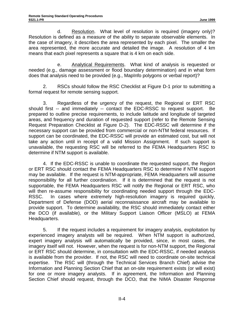d. Resolution. What level of resolution is required (imagery only)? Resolution is defined as a measure of the ability to separate observable elements. In the case of imagery, it describes the area represented by each pixel. The smaller the area represented, the more accurate and detailed the image. A resolution of 4 km means that each pixel represents a square that is 4 km on each side.

e. Analytical Requirements. What kind of analysis is requested or needed (e.g., damage assessment or flood boundary determination) and in what form does that analysis need to be provided (e.g., MapInfo polygons or verbal report)?

2. RSCs should follow the RSC Checklist at Figure D-1 prior to submitting a formal request for remote sensing support.

3. Regardless of the urgency of the request, the Regional or ERT RSC should first -- and immediately -- contact the EDC-RSSC to request support. Be prepared to outline precise requirements, to include latitude and longitude of targeted areas, and frequency and duration of requested support (refer to the Remote Sensing Request Preparation Checklist at Figure D-2). The EDC-RSSC will determine if the necessary support can be provided from commercial or non-NTM federal resources. If support can be coordinated, the EDC-RSSC will provide an estimated cost, but will not take any action until in receipt of a valid Mission Assignment. If such support is unavailable, the requesting RSC will be referred to the FEMA Headquarters RSC to determine if NTM support is available.

4. If the EDC-RSSC is unable to coordinate the requested support, the Region or ERT RSC should contact the FEMA Headquarters RSC to determine if NTM support may be available. If the request is NTM-appropriate, FEMA Headquarters will assume responsibility for all further coordination. If it is determined that the request is not supportable, the FEMA Headquarters RSC will notify the Regional or ERT RSC, who will then re-assume responsibility for coordinating needed support through the EDC-RSSC. In cases where extremely high-resolution imagery is required quickly, Department of Defense (DOD) aerial reconnaissance aircraft may be available to provide support. To determine availability, the RSC should immediately contact either the DCO (if available), or the Military Support Liaison Officer (MSLO) at FEMA Headquarters.

5. If the request includes a requirement for imagery analysis, exploitation by experienced imagery analysts will be required. When NTM support is authorized, expert imagery analysis will automatically be provided, since, in most cases, the imagery itself will not. However, when the request is for non-NTM support, the Regional or ERT RSC should determine, in consultation with the EDC-RSSC, if needed analysis is available from the provider. If not, the RSC will need to coordinate on-site technical expertise. The RSC will (through the Technical Services Branch Chief) advise the Information and Planning Section Chief that an on-site requirement exists (or will exist) for one or more imagery analysts. If in agreement, the Information and Planning Section Chief should request, through the DCO, that the NIMA Disaster Response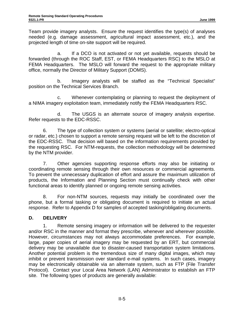Team provide imagery analysts. Ensure the request identifies the type(s) of analyses needed (e.g. damage assessment, agricultural impact assessment, etc.), and the projected length of time on-site support will be required.

a. If a DCO is not activated or not yet available, requests should be forwarded (through the ROC Staff, EST, or FEMA Headquarters RSC) to the MSLO at FEMA Headquarters. The MSLO will forward the request to the appropriate military office, normally the Director of Military Support (DOMS).

b. Imagery analysts will be staffed as the "Technical Specialist" position on the Technical Services Branch.

c. Whenever contemplating or planning to request the deployment of a NIMA imagery exploitation team, immediately notify the FEMA Headquarters RSC.

d. The USGS is an alternate source of imagery analysis expertise. Refer requests to the EDC-RSSC.

6. The type of collection system or systems (aerial or satellite; electro-optical or radar, etc.) chosen to support a remote sensing request will be left to the discretion of the EDC-RSSC. That decision will based on the information requirements provided by the requesting RSC. For NTM-requests, the collection methodology will be determined by the NTM provider.

7. Other agencies supporting response efforts may also be initiating or coordinating remote sensing through their own resources or commercial agreements. To prevent the unnecessary duplication of effort and assure the maximum utilization of products, the Information and Planning Section must continually check with other functional areas to identify planned or ongoing remote sensing activities.

8. For non-NTM sources, requests may initially be coordinated over the phone, but a formal tasking or obligating document is required to initiate an actual response. Refer to Appendix D for samples of accepted tasking/obligating documents.

#### **D. DELIVERY**

1. Remote sensing imagery or information will be delivered to the requester and/or RSC in the manner and format they prescribe, whenever and wherever possible. However, circumstances may not always accommodate preferences. For example, large, paper copies of aerial imagery may be requested by an ERT, but commercial delivery may be unavailable due to disaster-caused transportation system limitations. Another potential problem is the tremendous size of many digital images, which may inhibit or prevent transmission over standard e-mail systems. In such cases, imagery may be electronically obtainable via an alternate system, such as FTP (File Transfer Protocol). Contact your Local Area Network (LAN) Administrator to establish an FTP site. The following types of products are generally available: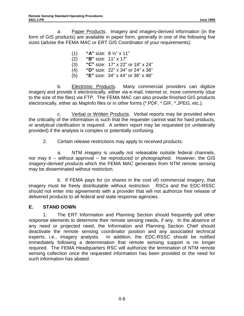a. Paper Products. Imagery and imagery-derived information (in the form of GIS products) are available in paper form, generally in one of the following five sizes (advise the FEMA MAC or ERT GIS Coordinator of your requirements):

> (1) **"A"** size: 8 ½" x 11" (2) **"B"** size: 11" x 17" (3) **"C"** size: 17" x 22" or 18" x 24" (4) **"D"** size: 22" x 34" or 24" x 36" (5) **"E"** size: 34" x 44" or 36" x 48"

b. Electronic Products. Many commercial providers can digitize imagery and provide it electronically, either via e-mail, internet or, more commonly (due to the size of the files) via FTP. The FEMA MAC can also provide finished GIS products electronically, either as MapInfo files or in other forms (\*.PDF, \*.GIF, \*.JPEG, etc.).

c. Verbal or Written Products. Verbal reports may be provided when the criticality of the information is such that the requester cannot wait for hard products, or analytical clarification is required. A written report may be requested (or unilaterally provided) if the analysis is complex or potentially confusing.

2. Certain release restrictions may apply to received products.

a. NTM imagery is usually not releasable outside federal channels, nor may it -- without approval -- be reproduced or photographed. However, the GIS imagery-derived products which the FEMA MAC generates from NTM remote sensing may be disseminated without restriction.

b. If FEMA pays for (or shares in the cost of) commercial imagery, that imagery must be freely distributable without restriction. RSCs and the EDC-RSSC should not enter into agreements with a provider that will not authorize free release of delivered products to all federal and state response agencies.

#### **E. STAND DOWN**

1. The ERT Information and Planning Section should frequently poll other response elements to determine their remote sensing needs, if any. In the absence of any need or projected need, the Information and Planning Section Chief should deactivate the remote sensing coordinator position and any associated technical experts; i.e., imagery analysts. In addition, the EDC-RSSC should be notified immediately following a determination that remote sensing support is no longer required. The FEMA Headquarters RSC will authorize the termination of NTM remote sensing collection once the requested information has been provided or the need for such information has abated.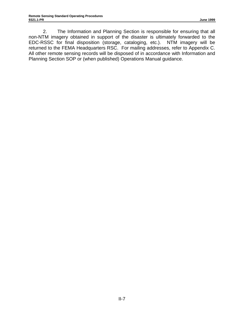2. The Information and Planning Section is responsible for ensuring that all non-NTM imagery obtained in support of the disaster is ultimately forwarded to the EDC-RSSC for final disposition (storage, cataloging, etc.). NTM imagery will be returned to the FEMA Headquarters RSC. For mailing addresses, refer to Appendix C. All other remote sensing records will be disposed of in accordance with Information and Planning Section SOP or (when published) Operations Manual guidance.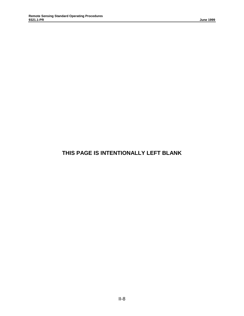## **THIS PAGE IS INTENTIONALLY LEFT BLANK**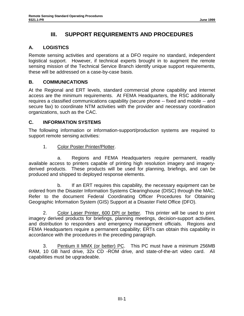## **III. SUPPORT REQUIREMENTS AND PROCEDURES**

#### **A. LOGISTICS**

Remote sensing activities and operations at a DFO require no standard, independent logistical support. However, if technical experts brought in to augment the remote sensing mission of the Technical Service Branch identify unique support requirements, these will be addressed on a case-by-case basis.

#### **B. COMMUNICATIONS**

At the Regional and ERT levels, standard commercial phone capability and internet access are the minimum requirements. At FEMA Headquarters, the RSC additionally requires a classified communications capability (secure phone -- fixed and mobile -- and secure fax) to coordinate NTM activities with the provider and necessary coordination organizations, such as the CAC.

#### **C. INFORMATION SYSTEMS**

The following information or information-support/production systems are required to support remote sensing activities:

#### 1. Color Poster Printer/Plotter.

a. Regions and FEMA Headquarters require permanent, readily available access to printers capable of printing high resolution imagery and imageryderived products. These products will be used for planning, briefings, and can be produced and shipped to deployed response elements.

b. If an ERT requires this capability, the necessary equipment can be ordered from the Disaster Information Systems Clearinghouse (DISC) through the MAC. Refer to the document Federal Coordinating Officer Procedures for Obtaining Geographic Information System (GIS) Support at a Disaster Field Office (DFO).

2. Color Laser Printer, 600 DPI or better. This printer will be used to print imagery derived products for briefings, planning meetings, decision-support activities, and distribution to responders and emergency management officials. Regions and FEMA Headquarters require a permanent capability; ERTs can obtain this capability in accordance with the procedures in the preceding paragraph.

3. Pentium II MMX (or better) PC. This PC must have a minimum 256MB RAM, 10 GB hard drive, 32x CD -ROM drive, and state-of-the-art video card. All capabilities must be upgradeable.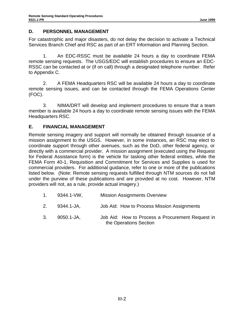#### **D. PERSONNEL MANAGEMENT**

For catastrophic and major disasters, do not delay the decision to activate a Technical Services Branch Chief and RSC as part of an ERT Information and Planning Section.

1. An EDC-RSSC must be available 24 hours a day to coordinate FEMA remote sensing requests. The USGS/EDC will establish procedures to ensure an EDC-RSSC can be contacted at or (if on call) through a designated telephone number. Refer to Appendix C.

2. A FEMA Headquarters RSC will be available 24 hours a day to coordinate remote sensing issues, and can be contacted through the FEMA Operations Center (FOC).

3. NIMA/DRT will develop and implement procedures to ensure that a team member is available 24 hours a day to coordinate remote sensing issues with the FEMA Headquarters RSC.

#### **E. FINANCIAL MANAGEMENT**

Remote sensing imagery and support will normally be obtained through issuance of a mission assignment to the USGS. However, in some instances, an RSC may elect to coordinate support through other avenues, such as the DoD, other federal agency, or directly with a commercial provider. A mission assignment (executed using the Request for Federal Assistance form) is the vehicle for tasking other federal entities, while the FEMA Form 40-1, Requisition and Commitment for Services and Supplies is used for commercial providers. For additional guidance, refer to one or more of the publications listed below. (Note: Remote sensing requests fulfilled through NTM sources do not fall under the purview of these publications and are provided at no cost. However, NTM providers will not, as a rule, provide actual imagery.)

- 1. 9344.1-VW, Mission Assignments Overview
- 2. 9344.1-JA, Job Aid: How to Process Mission Assignments
- 3. 9050.1-JA, Job Aid: How to Process a Procurement Request in the Operations Section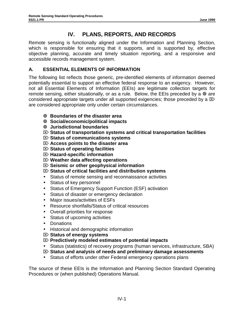## **IV. PLANS, REPORTS, AND RECORDS**

Remote sensing is functionally aligned under the Information and Planning Section, which is responsible for ensuring that it supports, and is supported by, effective objective planning, accurate and timely situation reporting, and a responsive and accessible records management system.

#### **A. ESSENTIAL ELEMENTS OF INFORMATION**

The following list reflects those generic, pre-identified elements of information deemed potentially essential to support an effective federal response to an exigency. However, not all Essential Elements of Information (EEIs) are legitimate collection targets for remote sensing, either situationally, or as a rule. Below, the EEIs preceded by a  $\circledcirc$  are considered appropriate targets under all supported exigencies; those preceded by a  $\boxtimes$ are considered appropriate only under certain circumstances.

- **Boundaries of the disaster area**
- **Social/economic/political impacts**
- **Jurisdictional boundaries**
- ¼ **Status of transportation systems and critical transportation facilities**
- ¼ **Status of communications systems**
- ¼ **Access points to the disaster area**
- ¼ **Status of operating facilities**
- ¼ **Hazard-specific information**
- ¼ **Weather data affecting operations**
- ¼ **Seismic or other geophysical information**
- ¼ **Status of critical facilities and distribution systems**
- Status of remote sensing and reconnaissance activities
- Status of key personnel
- Status of Emergency Support Function (ESF) activation
- Status of disaster or emergency declaration
- Major issues/activities of ESFs
- Resource shortfalls/Status of critical resources
- Overall priorities for response
- Status of upcoming activities
- Donations
- Historical and demographic information
- **E> Status of energy systems**
- ¼ **Predictively modeled estimates of potential impacts**
- Status (statistics) of recovery programs (human services, infrastructure, SBA)
- ¼ **Status and analysis of needs and preliminary damage assessments**
- Status of efforts under other Federal emergency operations plans

The source of these EEIs is the Information and Planning Section Standard Operating Procedures or (when published) Operations Manual.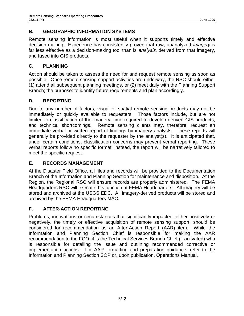#### **B. GEOGRAPHIC INFORMATION SYSTEMS**

Remote sensing information is most useful when it supports timely and effective decision-making. Experience has consistently proven that raw, unanalyzed *imagery* is far less effective as a decision-making tool than is *analysis*, derived from that imagery, and fused into GIS products.

#### **C. PLANNING**

Action should be taken to assess the need for and request remote sensing as soon as possible. Once remote sensing support activities are underway, the RSC should either (1) attend all subsequent planning meetings, or (2) meet daily with the Planning Support Branch; the purpose: to identify future requirements and plan accordingly.

#### **D. REPORTING**

Due to any number of factors, visual or spatial remote sensing products may not be immediately or quickly available to requesters. Those factors include, but are not limited to classification of the imagery, time required to develop derived GIS products, and technical shortcomings. Remote sensing clients may, therefore, request an immediate verbal or written report of findings by imagery analysts. These reports will generally be provided directly to the requester by the analyst(s). It is anticipated that, under certain conditions, classification concerns may prevent verbal reporting. These verbal reports follow no specific format; instead, the report will be narratively tailored to meet the specific request.

#### **E. RECORDS MANAGEMENT**

At the Disaster Field Office, all files and records will be provided to the Documentation Branch of the Information and Planning Section for maintenance and disposition. At the Region, the Regional RSC will ensure records are properly administered. The FEMA Headquarters RSC will execute this function at FEMA Headquarters. All imagery will be stored and archived at the USGS EDC. All imagery-derived products will be stored and archived by the FEMA Headquarters MAC.

#### **F. AFTER-ACTION REPORTING**

Problems, innovations or circumstances that significantly impacted, either positively or negatively, the timely or effective acquisition of remote sensing support, should be considered for recommendation as an After-Action Report (AAR) item. While the Information and Planning Section Chief is responsible for making the AAR recommendation to the FCO; it is the Technical Services Branch Chief (if activated) who is responsible for detailing the issue and outlining recommended corrective or implementation actions. For AAR formatting and preparation guidance, refer to the Information and Planning Section SOP or, upon publication, Operations Manual.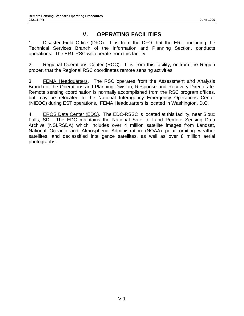## **V. OPERATING FACILITIES**

1. Disaster Field Office (DFO). It is from the DFO that the ERT, including the Technical Services Branch of the Information and Planning Section, conducts operations. The ERT RSC will operate from this facility.

2. Regional Operations Center (ROC). It is from this facility, or from the Region proper, that the Regional RSC coordinates remote sensing activities.

3. FEMA Headquarters. The RSC operates from the Assessment and Analysis Branch of the Operations and Planning Division, Response and Recovery Directorate. Remote sensing coordination is normally accomplished from the RSC program offices, but may be relocated to the National Interagency Emergency Operations Center (NIEOC) during EST operations. FEMA Headquarters is located in Washington, D.C.

4. EROS Data Center (EDC). The EDC-RSSC is located at this facility, near Sioux Falls, SD. The EDC maintains the National Satellite Land Remote Sensing Data Archive (NSLRSDA) which includes over 4 million satellite images from Landsat, National Oceanic and Atmospheric Administration (NOAA) polar orbiting weather satellites, and declassified intelligence satellites, as well as over 8 million aerial photographs.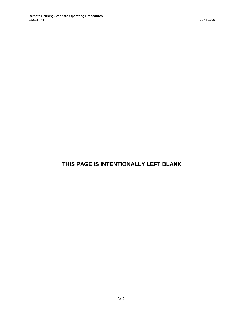## **THIS PAGE IS INTENTIONALLY LEFT BLANK**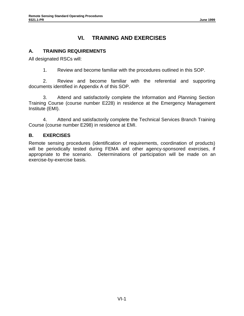## **VI. TRAINING AND EXERCISES**

#### **A. TRAINING REQUIREMENTS**

All designated RSCs will:

1. Review and become familiar with the procedures outlined in this SOP.

2. Review and become familiar with the referential and supporting documents identified in Appendix A of this SOP.

3. Attend and satisfactorily complete the Information and Planning Section Training Course (course number E228) in residence at the Emergency Management Institute (EMI).

4. Attend and satisfactorily complete the Technical Services Branch Training Course (course number E298) in residence at EMI.

#### **B. EXERCISES**

Remote sensing procedures (identification of requirements, coordination of products) will be periodically tested during FEMA and other agency-sponsored exercises, if appropriate to the scenario. Determinations of participation will be made on an exercise-by-exercise basis.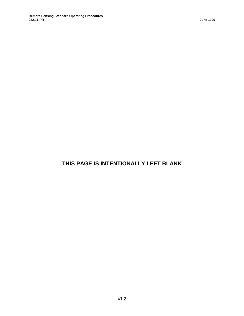## **THIS PAGE IS INTENTIONALLY LEFT BLANK**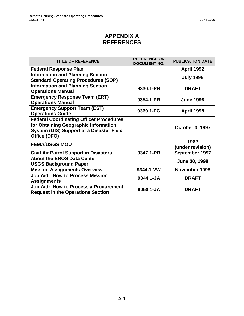#### **APPENDIX A REFERENCES**

| <b>TITLE OF REFERENCE</b>                                                                                                                          | <b>REFERENCE OR</b><br><b>DOCUMENT NO.</b> | <b>PUBLICATION DATE</b>  |
|----------------------------------------------------------------------------------------------------------------------------------------------------|--------------------------------------------|--------------------------|
| <b>Federal Response Plan</b>                                                                                                                       |                                            | April 1992               |
| <b>Information and Planning Section</b><br><b>Standard Operating Procedures (SOP)</b>                                                              |                                            | <b>July 1996</b>         |
| <b>Information and Planning Section</b><br><b>Operations Manual</b>                                                                                | 9330.1-PR                                  | <b>DRAFT</b>             |
| <b>Emergency Response Team (ERT)</b><br><b>Operations Manual</b>                                                                                   | 9354.1-PR                                  | <b>June 1998</b>         |
| <b>Emergency Support Team (EST)</b><br><b>Operations Guide</b>                                                                                     | 9360.1-FG                                  | April 1998               |
| <b>Federal Coordinating Officer Procedures</b><br>for Obtaining Geographic Information<br>System (GIS) Support at a Disaster Field<br>Office (DFO) |                                            | <b>October 3, 1997</b>   |
| <b>FEMA/USGS MOU</b>                                                                                                                               |                                            | 1982<br>(under revision) |
| <b>Civil Air Patrol Support in Disasters</b>                                                                                                       | 9347.1-PR                                  | September 1997           |
| <b>About the EROS Data Center</b><br><b>USGS Background Paper</b>                                                                                  |                                            | June 30, 1998            |
| <b>Mission Assignments Overview</b>                                                                                                                | 9344.1-VW                                  | November 1998            |
| <b>Job Aid: How to Process Mission</b><br><b>Assignments</b>                                                                                       | 9344.1-JA                                  | <b>DRAFT</b>             |
| <b>Job Aid: How to Process a Procurement</b><br><b>Request in the Operations Section</b>                                                           | 9050.1-JA                                  | <b>DRAFT</b>             |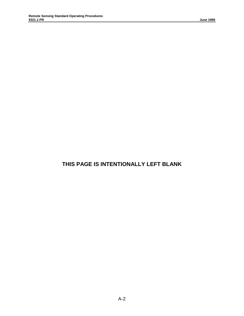## **THIS PAGE IS INTENTIONALLY LEFT BLANK**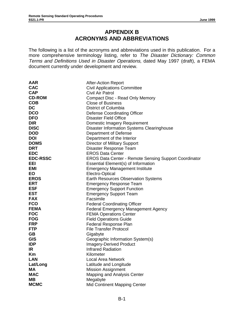#### **APPENDIX B ACRONYMS AND ABBREVIATIONS**

The following is a list of the acronyms and abbreviations used in this publication. For a more comprehensive terminology listing, refer to The Disaster Dictionary: Common Terms and Definitions Used in Disaster Operations, dated May 1997 (draft), a FEMA document currently under development and review.

| AAR             | <b>After-Action Report</b>                                   |
|-----------------|--------------------------------------------------------------|
| <b>CAC</b>      | <b>Civil Applications Committee</b>                          |
| <b>CAP</b>      | Civil Air Patrol                                             |
| <b>CD-ROM</b>   | <b>Compact Disc - Read Only Memory</b>                       |
| <b>COB</b>      | <b>Close of Business</b>                                     |
| <b>DC</b>       | <b>District of Columbia</b>                                  |
| <b>DCO</b>      | <b>Defense Coordinating Officer</b>                          |
| <b>DFO</b>      | <b>Disaster Field Office</b>                                 |
| <b>DIR</b>      | Domestic Imagery Requirement                                 |
| <b>DISC</b>     | Disaster Information Systems Clearinghouse                   |
| <b>DOD</b>      | Department of Defense                                        |
| <b>DOI</b>      | Department of the Interior                                   |
| <b>DOMS</b>     | <b>Director of Military Support</b>                          |
| <b>DRT</b>      | Disaster Response Team                                       |
| <b>EDC</b>      | <b>EROS Data Center</b>                                      |
| <b>EDC-RSSC</b> | <b>EROS Data Center - Remote Sensing Support Coordinator</b> |
| EEI             | Essential Element(s) of Information                          |
| <b>EMI</b>      | <b>Emergency Management Institute</b>                        |
| EO              | Electro-Optical                                              |
| <b>EROS</b>     | <b>Earth Resources Observation Systems</b>                   |
| <b>ERT</b>      | <b>Emergency Response Team</b>                               |
| <b>ESF</b>      | <b>Emergency Support Function</b>                            |
| <b>EST</b>      | <b>Emergency Support Team</b>                                |
| <b>FAX</b>      | Facsimile                                                    |
| <b>FCO</b>      | <b>Federal Coordinating Officer</b>                          |
| <b>FEMA</b>     | <b>Federal Emergency Management Agency</b>                   |
| <b>FOC</b>      | <b>FEMA Operations Center</b>                                |
| <b>FOG</b>      | <b>Field Operations Guide</b>                                |
| <b>FRP</b>      | <b>Federal Response Plan</b>                                 |
| <b>FTP</b>      | <b>File Transfer Protocol</b>                                |
| <b>GB</b>       | Gigabyte                                                     |
| <b>GIS</b>      | Geographic Information System(s)                             |
| <b>IDP</b>      | <b>Imagery-Derived Product</b>                               |
| IR              | <b>Infrared Radiation</b>                                    |
| Km              | Kilometer                                                    |
| <b>LAN</b>      | <b>Local Area Network</b>                                    |
| Lat/Long        | Latitude and Longitude                                       |
| <b>MA</b>       | <b>Mission Assignment</b>                                    |
| <b>MAC</b>      | Mapping and Analysis Center                                  |
| MВ              | Megabyte                                                     |
| <b>MCMC</b>     | <b>Mid Continent Mapping Center</b>                          |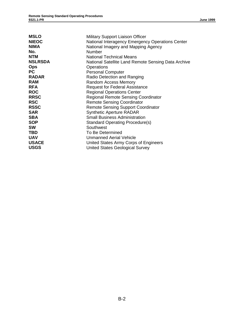| MSLO         | Military Support Liaison Officer                    |
|--------------|-----------------------------------------------------|
| <b>NIEOC</b> | National Interagency Emergency Operations Center    |
| NIMA<br>No.  | National Imagery and Mapping Agency<br>Number       |
| NTM          | National Technical Means                            |
| NSLRSDA      | National Satellite Land Remote Sensing Data Archive |
| <b>Ops</b>   | <b>Operations</b>                                   |
| РC           | <b>Personal Computer</b>                            |
| <b>RADAR</b> | Radio Detection and Ranging                         |
| RAM          | Random Access Memory                                |
| RFA          | <b>Request for Federal Assistance</b>               |
| <b>ROC</b>   | <b>Regional Operations Center</b>                   |
| <b>RRSC</b>  | <b>Regional Remote Sensing Coordinator</b>          |
| <b>RSC</b>   | <b>Remote Sensing Coordinator</b>                   |
| RSSC         | <b>Remote Sensing Support Coordinator</b>           |
| SAR          | <b>Synthetic Aperture RADAR</b>                     |
| SBA          | <b>Small Business Administration</b>                |
| SOP          | <b>Standard Operating Procedure(s)</b>              |
| SW           | Southwest                                           |
| TBD          | To Be Determined                                    |
| UAV          | <b>Unmanned Aerial Vehicle</b>                      |
| USACE        | United States Army Corps of Engineers               |
| USGS         | <b>United States Geological Survey</b>              |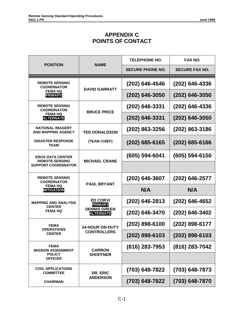## **APPENDIX C POINTS OF CONTACT**

|                                                      | <b>NAME</b>                                  | <b>TELEPHONE NO.</b>    | FAX NO.               |
|------------------------------------------------------|----------------------------------------------|-------------------------|-----------------------|
| <b>POSITION</b>                                      |                                              | <b>SECURE PHONE NO.</b> | <b>SECURE FAX NO.</b> |
| <b>REMOTE SENSING</b><br><b>COORDINATOR</b>          | <b>DAVID GARRATT</b>                         | (202) 646-4546          | (202) 646-4336        |
| <b>FEMA HQ</b><br><b>PRIMARY</b>                     |                                              | (202) 646-3050          | (202) 646-3050        |
| <b>REMOTE SENSING</b><br><b>COORDINATOR</b>          | <b>BRUCE PRICE</b>                           | (202) 646-3331          | (202) 646-4336        |
| <b>FEMA HQ</b><br><b>ALTERNATE</b>                   |                                              | (202) 646-3331          | (202) 646-3050        |
| <b>NATIONAL IMAGERY</b><br><b>AND MAPPING AGENCY</b> | <b>TED DONALDSON</b>                         | (202) 863-3256          | (202) 863-3186        |
| <b>DISASTER RESPONSE</b><br><b>TEAM</b>              | (TEAM CHIEF)                                 | $(202)$ 685-6165        | $(202)$ 685-6166      |
| <b>EROS DATA CENTER</b>                              |                                              | $(605) 594 - 6041$      | (605) 594-6150        |
| <b>REMOTE SENSING</b><br><b>SUPPORT COORDINATOR</b>  | <b>MICHAEL CRANE</b>                         |                         |                       |
| <b>REMOTE SENSING</b><br><b>COORDINATOR</b>          | <b>PAUL BRYANT</b>                           | $(202)$ 646-3607        | (202) 646-2577        |
| <b>FEMA HQ</b><br><b>MITIGATION</b>                  |                                              | N/A                     | N/A                   |
| <b>MAPPING AND ANALYSIS</b><br><b>CENTER</b>         | <b>ED CORVI</b><br><b>PRIMARY</b>            | $(202)$ 646-2813        | (202) 646-4652        |
| <b>FEMA HQ</b>                                       | <b>DENNIS GREEN</b><br><b>ALTERNATE</b>      | (202) 646-3470          | (202) 646-3402        |
| <b>FEMA</b><br><b>OPERATIONS</b>                     | <b>24-HOUR ON-DUTY</b><br><b>CONTROLLERS</b> | $(202)$ 898-6100        | (202) 898-6177        |
| <b>CENTER</b>                                        |                                              | $(202)$ 898-6103        | (202) 898-6103        |
| <b>FEMA</b><br><b>MISSION ASSIGNMENT</b>             | <b>CARRON</b><br><b>SHOFFNER</b>             | $(816)$ 283-7953        | (816) 283-7042        |
| <b>POLICY</b><br><b>OFFICER</b>                      |                                              |                         |                       |
| <b>CIVIL APPLICATIONS</b><br><b>COMMITTEE</b>        | DR. ERIC                                     | (703) 648-7822          | (703) 648-7873        |
| <b>CHAIRMAN</b>                                      | <b>ANDERSON</b>                              | (703) 648-7822          | (703) 648-7870        |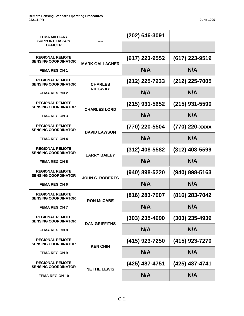| <b>FEMA MILITARY</b>                                 |                        | $(202)$ 646-3091   |                  |
|------------------------------------------------------|------------------------|--------------------|------------------|
| <b>SUPPORT LIAISON</b><br><b>OFFICER</b>             |                        |                    |                  |
| <b>REGIONAL REMOTE</b><br><b>SENSING COORDINATOR</b> |                        | $(617)$ 223-9552   | (617) 223-9519   |
| <b>FEMA REGION 1</b>                                 | <b>MARK GALLAGHER</b>  | N/A                | N/A              |
| <b>REGIONAL REMOTE</b><br><b>SENSING COORDINATOR</b> | <b>CHARLES</b>         | $(212)$ 225-7233   | (212) 225-7005   |
| <b>FEMA REGION 2</b>                                 | <b>RIDGWAY</b>         | N/A                | N/A              |
| <b>REGIONAL REMOTE</b><br><b>SENSING COORDINATOR</b> |                        | $(215)$ 931-5652   | $(215)$ 931-5590 |
| <b>FEMA REGION 3</b>                                 | <b>CHARLES LORD</b>    | N/A                | N/A              |
| <b>REGIONAL REMOTE</b><br><b>SENSING COORDINATOR</b> |                        | (770) 220-5504     | (770) 220-xxxx   |
| <b>FEMA REGION 4</b>                                 | <b>DAVID LAWSON</b>    | N/A                | N/A              |
| <b>REGIONAL REMOTE</b><br><b>SENSING COORDINATOR</b> | <b>LARRY BAILEY</b>    | $(312)$ 408-5582   | $(312)$ 408-5599 |
| <b>FEMA REGION 5</b>                                 |                        | N/A                | N/A              |
| <b>REGIONAL REMOTE</b><br><b>SENSING COORDINATOR</b> |                        | $(940) 898 - 5220$ | $(940)$ 898-5163 |
| <b>FEMA REGION 6</b>                                 | <b>JOHN C. ROBERTS</b> | N/A                | N/A              |
| <b>REGIONAL REMOTE</b><br><b>SENSING COORDINATOR</b> |                        | (816) 283-7007     | (816) 283-7042   |
| <b>FEMA REGION 7</b>                                 | <b>RON McCABE</b>      | N/A                | N/A              |
| <b>REGIONAL REMOTE</b><br><b>SENSING COORDINATOR</b> |                        | $(303)$ 235-4990   | $(303)$ 235-4939 |
| <b>FEMA REGION 8</b>                                 | <b>DAN GRIFFITHS</b>   | N/A                | N/A              |
| <b>REGIONAL REMOTE</b><br><b>SENSING COORDINATOR</b> |                        | (415) 923-7250     | (415) 923-7270   |
| <b>FEMA REGION 9</b>                                 | <b>KEN CHIN</b>        | N/A                | N/A              |
| <b>REGIONAL REMOTE</b><br><b>SENSING COORDINATOR</b> |                        | (425) 487-4751     | (425) 487-4741   |
| <b>FEMA REGION 10</b>                                | <b>NETTIE LEWIS</b>    | N/A                | N/A              |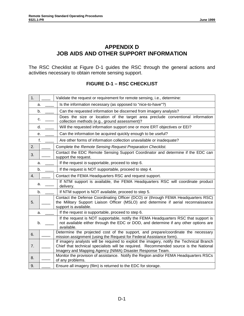### **APPENDIX D JOB AIDS AND OTHER SUPPORT INFORMATION**

The RSC Checklist at Figure D-1 guides the RSC through the general actions and activities necessary to obtain remote sensing support.

#### **FIGURE D-1 – RSC CHECKLIST**

| 1. |                                                                                                                                                                                                  | Validate the request or requirement for remote sensing, i.e., determine:                                                                                                                                                                       |  |  |  |  |  |
|----|--------------------------------------------------------------------------------------------------------------------------------------------------------------------------------------------------|------------------------------------------------------------------------------------------------------------------------------------------------------------------------------------------------------------------------------------------------|--|--|--|--|--|
| a. |                                                                                                                                                                                                  | Is the information necessary (as opposed to "nice-to-have"?)                                                                                                                                                                                   |  |  |  |  |  |
| b. |                                                                                                                                                                                                  | Can the requested information be discerned from imagery analysis?                                                                                                                                                                              |  |  |  |  |  |
|    | c.                                                                                                                                                                                               | Does the size or location of the target area preclude conventional information<br>collection methods (e.g., ground assessment)?                                                                                                                |  |  |  |  |  |
| d. |                                                                                                                                                                                                  | Will the requested information support one or more ERT objectives or EEI?                                                                                                                                                                      |  |  |  |  |  |
| е. |                                                                                                                                                                                                  | Can the information be acquired quickly enough to be useful?                                                                                                                                                                                   |  |  |  |  |  |
|    | f.                                                                                                                                                                                               | Are other forms of information collection unavailable or inadequate?                                                                                                                                                                           |  |  |  |  |  |
| 2. |                                                                                                                                                                                                  | Complete the Remote Sensing Request Preparation Checklist.                                                                                                                                                                                     |  |  |  |  |  |
| 3. |                                                                                                                                                                                                  | Contact the EDC Remote Sensing Support Coordinator and determine if the EDC can<br>support the request.                                                                                                                                        |  |  |  |  |  |
| a. |                                                                                                                                                                                                  | If the request is supportable, proceed to step 6.                                                                                                                                                                                              |  |  |  |  |  |
| b. |                                                                                                                                                                                                  | If the request is NOT supportable, proceed to step 4.                                                                                                                                                                                          |  |  |  |  |  |
| 4. |                                                                                                                                                                                                  | Contact the FEMA Headquarters RSC and request support.                                                                                                                                                                                         |  |  |  |  |  |
| a. |                                                                                                                                                                                                  | If NTM support is available, the FEMA Headquarters RSC will coordinate product<br>delivery.                                                                                                                                                    |  |  |  |  |  |
| b. |                                                                                                                                                                                                  | If NTM support is NOT available, proceed to step 5.                                                                                                                                                                                            |  |  |  |  |  |
| 5. | Contact the Defense Coordinating Officer (DCO) or (through FEMA Headquarters RSC)<br>the Military Support Liaison Officer (MSLO) and determine if aerial reconnaissance<br>support is available. |                                                                                                                                                                                                                                                |  |  |  |  |  |
| a. |                                                                                                                                                                                                  | If the request is supportable, proceed to step 6.                                                                                                                                                                                              |  |  |  |  |  |
| b. |                                                                                                                                                                                                  | If the request is NOT supportable, notify the FEMA Headquarters RSC that support is<br>not available either through the EDC or DOD, and determine if any other options are<br>available.                                                       |  |  |  |  |  |
| 6. |                                                                                                                                                                                                  | Determine the projected cost of the support, and prepare/coordinate the necessary<br>mission assignment (using the Request for Federal Assistance form).                                                                                       |  |  |  |  |  |
| 7. |                                                                                                                                                                                                  | If imagery analysts will be required to exploit the imagery, notify the Technical Branch<br>Chief that technical specialists will be required. Recommended source is the National<br>Imagery and Mapping Agency (NIMA) Disaster Response Team. |  |  |  |  |  |
| 8. |                                                                                                                                                                                                  | Monitor the provision of assistance. Notify the Region and/or FEMA Headquarters RSCs<br>of any problems.                                                                                                                                       |  |  |  |  |  |
| 9. |                                                                                                                                                                                                  | Ensure all imagery (film) is returned to the EDC for storage.                                                                                                                                                                                  |  |  |  |  |  |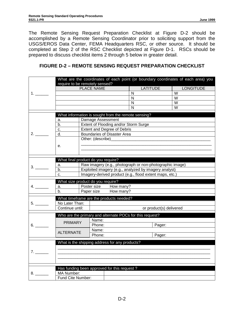The Remote Sensing Request Preparation Checklist at Figure D-2 should be accomplished by a Remote Sensing Coordinator prior to soliciting support from the USGS/EROS Data Center, FEMA Headquarters RSC, or other source. It should be completed at Step 2 of the RSC Checklist depicted at Figure D-1. RSCs should be prepared to discuss checklist items 2 through 5 below in greater detail.

#### **FIGURE D-2 – REMOTE SENSING REQUEST PREPARATION CHECKLIST**

|       | What are the coordinates of each point (or boundary coordinates of each area) you                                       |                                                          |                 |                  |  |  |  |
|-------|-------------------------------------------------------------------------------------------------------------------------|----------------------------------------------------------|-----------------|------------------|--|--|--|
|       | require to be remotely sensed?                                                                                          |                                                          |                 |                  |  |  |  |
|       |                                                                                                                         | <b>PLACE NAME</b>                                        | <b>LATITUDE</b> | <b>LONGITUDE</b> |  |  |  |
| 1.500 |                                                                                                                         |                                                          | N               | W                |  |  |  |
|       |                                                                                                                         |                                                          | N               | W                |  |  |  |
|       |                                                                                                                         |                                                          | N               | W                |  |  |  |
|       |                                                                                                                         |                                                          | N               | W                |  |  |  |
|       |                                                                                                                         | What information is sought from the remote sensing?      |                 |                  |  |  |  |
|       | Damage Assessment<br>a.                                                                                                 |                                                          |                 |                  |  |  |  |
|       | Extent of Flooding and/or Storm Surge<br>b.                                                                             |                                                          |                 |                  |  |  |  |
|       | Extent and Degree of Debris<br>c.                                                                                       |                                                          |                 |                  |  |  |  |
| 2.    | d.                                                                                                                      | <b>Boundaries of Disaster Area</b>                       |                 |                  |  |  |  |
|       |                                                                                                                         | Other: (describe)                                        |                 |                  |  |  |  |
|       | е.                                                                                                                      |                                                          |                 |                  |  |  |  |
|       |                                                                                                                         |                                                          |                 |                  |  |  |  |
|       |                                                                                                                         |                                                          |                 |                  |  |  |  |
|       |                                                                                                                         | What final product do you require?                       |                 |                  |  |  |  |
|       | a.                                                                                                                      |                                                          |                 |                  |  |  |  |
|       | Raw imagery (e.g., photograph or non-photographic image)<br>Exploited imagery (e.g., analyzed by imagery analyst)<br>b. |                                                          |                 |                  |  |  |  |
|       | Imagery-derived product (e.g., flood extent maps, etc.)<br>C <sub>1</sub>                                               |                                                          |                 |                  |  |  |  |
|       |                                                                                                                         |                                                          |                 |                  |  |  |  |
|       | What size product do you require?                                                                                       |                                                          |                 |                  |  |  |  |
| 4.    | Poster size How many?<br>а.                                                                                             |                                                          |                 |                  |  |  |  |
|       |                                                                                                                         | Paper size<br>How many?<br>b.                            |                 |                  |  |  |  |
|       | What timeframe are the products needed?                                                                                 |                                                          |                 |                  |  |  |  |
| 5.    | No Later Than:                                                                                                          |                                                          |                 |                  |  |  |  |
|       | Continue until:                                                                                                         | or product(s) delivered                                  |                 |                  |  |  |  |
|       |                                                                                                                         |                                                          |                 |                  |  |  |  |
|       |                                                                                                                         | Who are the primary and alternate POCs for this request? |                 |                  |  |  |  |
|       | <b>PRIMARY</b>                                                                                                          | Name:                                                    |                 |                  |  |  |  |
| 6.    |                                                                                                                         | Phone:                                                   | Pager:          |                  |  |  |  |
|       | <b>ALTERNATE</b>                                                                                                        | Name:                                                    |                 |                  |  |  |  |
|       |                                                                                                                         | Phone:                                                   | Pager:          |                  |  |  |  |
|       |                                                                                                                         | What is the shipping address for any products?           |                 |                  |  |  |  |
|       |                                                                                                                         |                                                          |                 |                  |  |  |  |
| 7.    |                                                                                                                         |                                                          |                 |                  |  |  |  |
|       |                                                                                                                         |                                                          |                 |                  |  |  |  |
|       |                                                                                                                         |                                                          |                 |                  |  |  |  |
|       |                                                                                                                         | Has funding been approved for this request?              |                 |                  |  |  |  |
|       | MA Number:                                                                                                              |                                                          |                 |                  |  |  |  |
|       | Fund Cite Number:                                                                                                       |                                                          |                 |                  |  |  |  |
|       |                                                                                                                         |                                                          |                 |                  |  |  |  |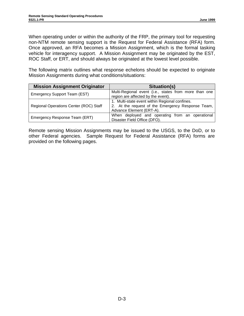When operating under or within the authority of the FRP, the primary tool for requesting non-NTM remote sensing support is the Request for Federal Assistance (RFA) form. Once approved, an RFA becomes a Mission Assignment, which is the formal tasking vehicle for interagency support. A Mission Assignment may be originated by the EST, ROC Staff, or ERT, and should always be originated at the lowest level possible.

The following matrix outlines what response echelons should be expected to originate Mission Assignments during what conditions/situations:

| <b>Mission Assignment Originator</b>   | Situation(s)                                                                                                                    |
|----------------------------------------|---------------------------------------------------------------------------------------------------------------------------------|
| <b>Emergency Support Team (EST)</b>    | Multi-Regional event (i.e., states from more than one<br>region are affected by the event).                                     |
| Regional Operations Center (ROC) Staff | 1. Multi-state event within Regional confines.<br>2. At the request of the Emergency Response Team,<br>Advance Element (ERT-A). |
| Emergency Response Team (ERT)          | When deployed and operating from an operational<br>Disaster Field Office (DFO).                                                 |

Remote sensing Mission Assignments may be issued to the USGS, to the DoD, or to other Federal agencies. Sample Request for Federal Assistance (RFA) forms are provided on the following pages.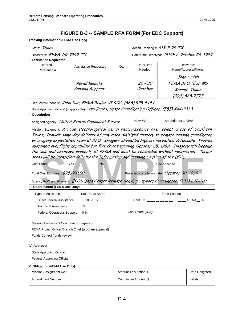#### **FIGURE D-3 -- SAMPLE RFA FORM (For EDC Support)**

| <b>Tracking Information (FEMA Use Only)</b>                                                                                                                                                                                                                                                                                                                                                                                                                                                                                                                                                                      |  |                                                                                                 |     |                                              |                                                   |                                   |  |
|------------------------------------------------------------------------------------------------------------------------------------------------------------------------------------------------------------------------------------------------------------------------------------------------------------------------------------------------------------------------------------------------------------------------------------------------------------------------------------------------------------------------------------------------------------------------------------------------------------------|--|-------------------------------------------------------------------------------------------------|-----|----------------------------------------------|---------------------------------------------------|-----------------------------------|--|
| State: Texas                                                                                                                                                                                                                                                                                                                                                                                                                                                                                                                                                                                                     |  |                                                                                                 |     | Action Tracking # 413-5-99-TX                |                                                   |                                   |  |
| Disaster #: FEMA-DR-9999-TX                                                                                                                                                                                                                                                                                                                                                                                                                                                                                                                                                                                      |  |                                                                                                 |     | Date/Time Received: 1415E / October 24, 1999 |                                                   |                                   |  |
| I. Assistance Requested                                                                                                                                                                                                                                                                                                                                                                                                                                                                                                                                                                                          |  |                                                                                                 |     |                                              |                                                   |                                   |  |
| Internal<br>Reference #                                                                                                                                                                                                                                                                                                                                                                                                                                                                                                                                                                                          |  | <b>Assistance Requested</b>                                                                     | Qty | Date/Time<br>Needed                          |                                                   | Deliver to:<br>Name/Address/Phone |  |
|                                                                                                                                                                                                                                                                                                                                                                                                                                                                                                                                                                                                                  |  |                                                                                                 |     |                                              |                                                   | Jane Smith                        |  |
|                                                                                                                                                                                                                                                                                                                                                                                                                                                                                                                                                                                                                  |  | Aerial Remote                                                                                   |     | 25 - 30                                      |                                                   | FEMA DFO /ESF#5                   |  |
|                                                                                                                                                                                                                                                                                                                                                                                                                                                                                                                                                                                                                  |  | Sensing Support                                                                                 |     | October                                      |                                                   |                                   |  |
|                                                                                                                                                                                                                                                                                                                                                                                                                                                                                                                                                                                                                  |  |                                                                                                 |     |                                              |                                                   | Kermit, Texas<br>(999) 888-7777   |  |
|                                                                                                                                                                                                                                                                                                                                                                                                                                                                                                                                                                                                                  |  | Requestor/Phone #: John Doe, FEMA Region VI ROC, (666) 555-4444                                 |     |                                              |                                                   |                                   |  |
|                                                                                                                                                                                                                                                                                                                                                                                                                                                                                                                                                                                                                  |  | State Approving Official (if applicable): Sam Jones, State Coordinating Officer, (555) 444-3333 |     |                                              |                                                   |                                   |  |
| II. Description                                                                                                                                                                                                                                                                                                                                                                                                                                                                                                                                                                                                  |  |                                                                                                 |     |                                              |                                                   |                                   |  |
|                                                                                                                                                                                                                                                                                                                                                                                                                                                                                                                                                                                                                  |  | Assigned Agency: United States Geological Survey                                                |     | New MA                                       | Amendment to MA#                                  |                                   |  |
| or imagery exploitation team at DFO. Imagery should be highest resolution obtainable. Provide<br>sustained overflight capability for five days beginning October 25, 1999. Imagery will become<br>the sole and exclusive property of FEMA and must be releasable without restriction. Target<br>areas will be identified daily by the Information and Planning Section of the DFO.<br>Cost Share:<br>Yes<br>See attached<br>No<br>Projected completion date: October 30, 1999<br>Total Cost Estimate: \$75,000.00<br>Agency POC and Phone #: EROS Data Center Remote Sensing Support Coordinator, (333) 222-1111 |  |                                                                                                 |     |                                              |                                                   |                                   |  |
| III. Coordination (FEMA Use Only)                                                                                                                                                                                                                                                                                                                                                                                                                                                                                                                                                                                |  |                                                                                                 |     |                                              |                                                   |                                   |  |
| <b>Type of Assistance</b>                                                                                                                                                                                                                                                                                                                                                                                                                                                                                                                                                                                        |  | <b>State Cost Share</b>                                                                         |     |                                              | <b>Fund Citation</b>                              |                                   |  |
| Direct Federal Assistance                                                                                                                                                                                                                                                                                                                                                                                                                                                                                                                                                                                        |  | $0, 10, 25 \%$                                                                                  |     |                                              | 1999 06 $\_\_\_\_\_\_\_\_$ 9 $\_\_4$ 250 $\_\_$ D |                                   |  |
| <b>Technical Assistance</b>                                                                                                                                                                                                                                                                                                                                                                                                                                                                                                                                                                                      |  | $0\%$                                                                                           |     |                                              |                                                   |                                   |  |
| <b>Federal Operations Support</b>                                                                                                                                                                                                                                                                                                                                                                                                                                                                                                                                                                                |  | $0\%$                                                                                           |     | Cost Share (%/\$):                           |                                                   |                                   |  |
| Mission Assignment Coordinator (preparer)<br>FEMA Project Officer/Branch Chief (program approval)                                                                                                                                                                                                                                                                                                                                                                                                                                                                                                                |  |                                                                                                 |     |                                              |                                                   |                                   |  |
| IV. Approval                                                                                                                                                                                                                                                                                                                                                                                                                                                                                                                                                                                                     |  |                                                                                                 |     |                                              |                                                   |                                   |  |
|                                                                                                                                                                                                                                                                                                                                                                                                                                                                                                                                                                                                                  |  |                                                                                                 |     |                                              |                                                   |                                   |  |
| Federal Approving Official <b>Example 2006</b>                                                                                                                                                                                                                                                                                                                                                                                                                                                                                                                                                                   |  |                                                                                                 |     |                                              |                                                   |                                   |  |
| V. Obligation (FEMA Use Only)                                                                                                                                                                                                                                                                                                                                                                                                                                                                                                                                                                                    |  |                                                                                                 |     |                                              |                                                   |                                   |  |
| Mission Assignment No.:                                                                                                                                                                                                                                                                                                                                                                                                                                                                                                                                                                                          |  |                                                                                                 |     | Amount This Action: \$                       |                                                   | Date Obligated                    |  |
| Amendment Number:                                                                                                                                                                                                                                                                                                                                                                                                                                                                                                                                                                                                |  |                                                                                                 |     | <b>Cumulative Amount: \$</b>                 |                                                   | Initials                          |  |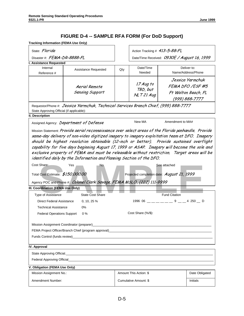## **FIGURE D-4 -- SAMPLE RFA FORM (For DoD Support)**

| <b>Tracking Information (FEMA Use Only)</b>                                                                                                                                                                                                                                                                                                                                                                                                                                                      |  |                                                                                      |     |                                             |                                  |                                                                              |
|--------------------------------------------------------------------------------------------------------------------------------------------------------------------------------------------------------------------------------------------------------------------------------------------------------------------------------------------------------------------------------------------------------------------------------------------------------------------------------------------------|--|--------------------------------------------------------------------------------------|-----|---------------------------------------------|----------------------------------|------------------------------------------------------------------------------|
| State: Florida                                                                                                                                                                                                                                                                                                                                                                                                                                                                                   |  |                                                                                      |     | Action Tracking # 413-5-88-FL               |                                  |                                                                              |
| Disaster #: FEMA-DR-8888-FL                                                                                                                                                                                                                                                                                                                                                                                                                                                                      |  |                                                                                      |     | Date/Time Received: 0930E / August 16, 1999 |                                  |                                                                              |
| <b>Assistance Requested</b><br>ı.                                                                                                                                                                                                                                                                                                                                                                                                                                                                |  |                                                                                      |     |                                             |                                  |                                                                              |
| Internal<br>Reference #                                                                                                                                                                                                                                                                                                                                                                                                                                                                          |  | Assistance Requested                                                                 | Qty | Date/Time<br>Needed                         |                                  | Deliver to:<br>Name/Address/Phone                                            |
|                                                                                                                                                                                                                                                                                                                                                                                                                                                                                                  |  | Aerial Remote<br>Sensing Support                                                     |     | 17 Aug to<br>TBD, but<br>NLT 21 Aug         |                                  | Jessica Yarmchuk<br>FEMA DFO /ESF#5<br>Ft Walton Beach, FL<br>(999) 888-7777 |
| State Approving Official (if applicable):                                                                                                                                                                                                                                                                                                                                                                                                                                                        |  | Requestor/Phone #: Jessica Yarmchuk, Technical Services Branch Chief, (999) 888-7777 |     |                                             |                                  |                                                                              |
| II. Description                                                                                                                                                                                                                                                                                                                                                                                                                                                                                  |  |                                                                                      |     |                                             |                                  |                                                                              |
| Assigned Agency: Department of Defense                                                                                                                                                                                                                                                                                                                                                                                                                                                           |  |                                                                                      |     | New MA                                      | Amendment to MA#                 |                                                                              |
| should be highest resolution obtainable (12-inch or better). Provide sustained overflight<br>capability for five days beginning August 17, 1999 or ASAP. Imagery will become the sole and<br>exclusive property of FEMA and must be releasable without restriction. Target areas will be<br>identified daily by the Information and Planning Section of the DFO.<br>Cost Share:<br>Yes<br>See attached<br>No.<br>Total Cost Estimate: \$150,000.00<br>Projected completion date: August 21, 1999 |  |                                                                                      |     |                                             |                                  |                                                                              |
|                                                                                                                                                                                                                                                                                                                                                                                                                                                                                                  |  | Agency POC and Phone #: Colonel Clark Savage, FEMA MSLO, (222) 111-9999              |     |                                             |                                  |                                                                              |
| III. Coordination (FEMA Use Only)                                                                                                                                                                                                                                                                                                                                                                                                                                                                |  |                                                                                      |     |                                             |                                  |                                                                              |
| <b>Type of Assistance</b>                                                                                                                                                                                                                                                                                                                                                                                                                                                                        |  | State Cost Share                                                                     |     |                                             | <b>Fund Citation</b>             |                                                                              |
| Direct Federal Assistance                                                                                                                                                                                                                                                                                                                                                                                                                                                                        |  | 0, 10, 25 %                                                                          |     |                                             | 1996 06 _______ 9 ___ 4 250 __ D |                                                                              |
| <b>Technical Assistance</b>                                                                                                                                                                                                                                                                                                                                                                                                                                                                      |  | 0%                                                                                   |     |                                             |                                  |                                                                              |
| <b>Federal Operations Support</b>                                                                                                                                                                                                                                                                                                                                                                                                                                                                |  | 0%                                                                                   |     | Cost Share (%/\$):                          |                                  |                                                                              |
| Mission Assignment Coordinator (preparer)<br>FEMA Project Officer/Branch Chief (program approval)<br>Funds Control (funds review) and the control of the control of the control of the control of the control of the control of the control of the control of the control of the control of the control of the control of the contr                                                                                                                                                              |  |                                                                                      |     |                                             |                                  |                                                                              |
| IV. Approval                                                                                                                                                                                                                                                                                                                                                                                                                                                                                     |  |                                                                                      |     |                                             |                                  |                                                                              |
| State Approving Official. <b>Example 2016</b> 2017 12:30:40 Approving Official.                                                                                                                                                                                                                                                                                                                                                                                                                  |  |                                                                                      |     |                                             |                                  |                                                                              |
| Federal Approving Official <b>Example 2006</b>                                                                                                                                                                                                                                                                                                                                                                                                                                                   |  |                                                                                      |     |                                             |                                  |                                                                              |
| V. Obligation (FEMA Use Only)                                                                                                                                                                                                                                                                                                                                                                                                                                                                    |  |                                                                                      |     |                                             |                                  |                                                                              |
| Mission Assignment No.:                                                                                                                                                                                                                                                                                                                                                                                                                                                                          |  |                                                                                      |     | Amount This Action: \$                      |                                  | Date Obligated                                                               |
| Amendment Number:                                                                                                                                                                                                                                                                                                                                                                                                                                                                                |  |                                                                                      |     | Cumulative Amount: \$                       |                                  | Initials                                                                     |
|                                                                                                                                                                                                                                                                                                                                                                                                                                                                                                  |  |                                                                                      |     |                                             |                                  |                                                                              |